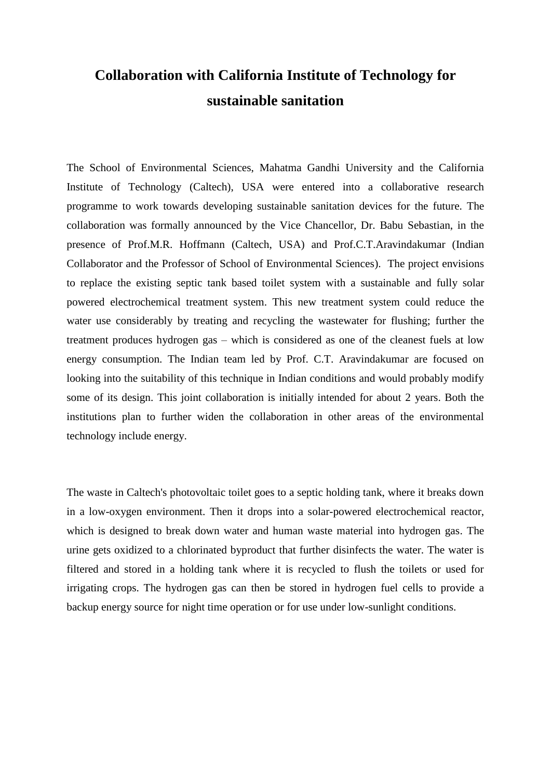## **Collaboration with California Institute of Technology for sustainable sanitation**

The School of Environmental Sciences, Mahatma Gandhi University and the California Institute of Technology (Caltech), USA were entered into a collaborative research programme to work towards developing sustainable sanitation devices for the future. The collaboration was formally announced by the Vice Chancellor, Dr. Babu Sebastian, in the presence of Prof.M.R. Hoffmann (Caltech, USA) and Prof.C.T.Aravindakumar (Indian Collaborator and the Professor of School of Environmental Sciences). The project envisions to replace the existing septic tank based toilet system with a sustainable and fully solar powered electrochemical treatment system. This new treatment system could reduce the water use considerably by treating and recycling the wastewater for flushing; further the treatment produces hydrogen gas – which is considered as one of the cleanest fuels at low energy consumption. The Indian team led by Prof. C.T. Aravindakumar are focused on looking into the suitability of this technique in Indian conditions and would probably modify some of its design. This joint collaboration is initially intended for about 2 years. Both the institutions plan to further widen the collaboration in other areas of the environmental technology include energy.

The waste in Caltech's photovoltaic toilet goes to a septic holding tank, where it breaks down in a low-oxygen environment. Then it drops into a solar-powered electrochemical reactor, which is designed to break down water and human waste material into hydrogen gas. The urine gets oxidized to a chlorinated byproduct that further disinfects the water. The water is filtered and stored in a holding tank where it is recycled to flush the toilets or used for irrigating crops. The hydrogen gas can then be stored in hydrogen fuel cells to provide a backup energy source for night time operation or for use under low-sunlight conditions.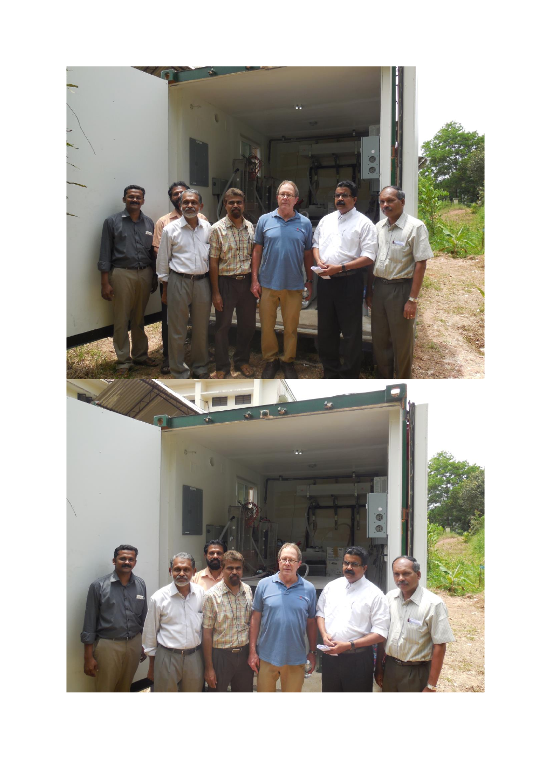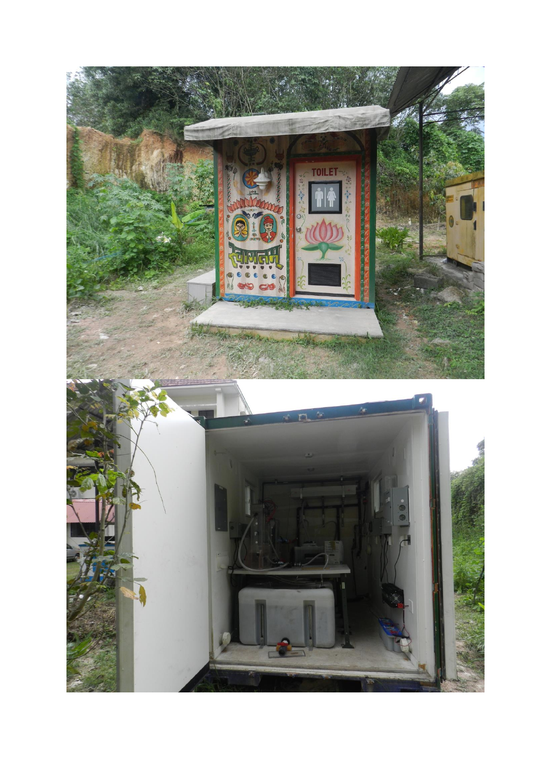